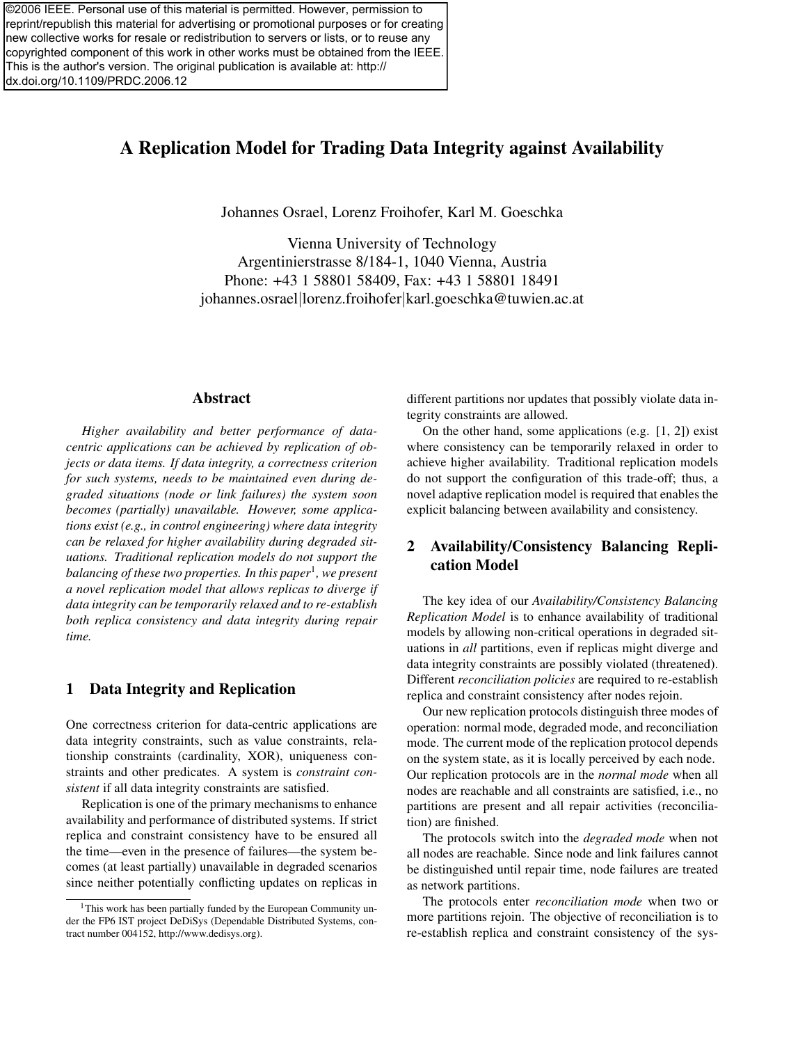©2006 IEEE. Personal use of this material is permitted. However, permission to reprint/republish this material for advertising or promotional purposes or for creating new collective works for resale or redistribution to servers or lists, or to reuse any copyrighted component of this work in other works must be obtained from the IEEE. This is the author's version. The original publication is available at: http:// dx.doi.org/10.1109/PRDC.2006.12

# A Replication Model for Trading Data Integrity against Availability

Johannes Osrael, Lorenz Froihofer, Karl M. Goeschka

Vienna University of Technology Argentinierstrasse 8/184-1, 1040 Vienna, Austria Phone: +43 1 58801 58409, Fax: +43 1 58801 18491 johannes.osrael|lorenz.froihofer|karl.goeschka@tuwien.ac.at

## Abstract

*Higher availability and better performance of datacentric applications can be achieved by replication of objects or data items. If data integrity, a correctness criterion for such systems, needs to be maintained even during degraded situations (node or link failures) the system soon becomes (partially) unavailable. However, some applications exist (e.g., in control engineering) where data integrity can be relaxed for higher availability during degraded situations. Traditional replication models do not support the balancing of these two properties. In this paper*<sup>1</sup> *, we present a novel replication model that allows replicas to diverge if data integrity can be temporarily relaxed and to re-establish both replica consistency and data integrity during repair time.*

### 1 Data Integrity and Replication

One correctness criterion for data-centric applications are data integrity constraints, such as value constraints, relationship constraints (cardinality, XOR), uniqueness constraints and other predicates. A system is *constraint consistent* if all data integrity constraints are satisfied.

Replication is one of the primary mechanisms to enhance availability and performance of distributed systems. If strict replica and constraint consistency have to be ensured all the time—even in the presence of failures—the system becomes (at least partially) unavailable in degraded scenarios since neither potentially conflicting updates on replicas in different partitions nor updates that possibly violate data integrity constraints are allowed.

On the other hand, some applications (e.g.  $[1, 2]$ ) exist where consistency can be temporarily relaxed in order to achieve higher availability. Traditional replication models do not support the configuration of this trade-off; thus, a novel adaptive replication model is required that enables the explicit balancing between availability and consistency.

## 2 Availability/Consistency Balancing Replication Model

The key idea of our *Availability/Consistency Balancing Replication Model* is to enhance availability of traditional models by allowing non-critical operations in degraded situations in *all* partitions, even if replicas might diverge and data integrity constraints are possibly violated (threatened). Different *reconciliation policies* are required to re-establish replica and constraint consistency after nodes rejoin.

Our new replication protocols distinguish three modes of operation: normal mode, degraded mode, and reconciliation mode. The current mode of the replication protocol depends on the system state, as it is locally perceived by each node. Our replication protocols are in the *normal mode* when all nodes are reachable and all constraints are satisfied, i.e., no partitions are present and all repair activities (reconciliation) are finished.

The protocols switch into the *degraded mode* when not all nodes are reachable. Since node and link failures cannot be distinguished until repair time, node failures are treated as network partitions.

The protocols enter *reconciliation mode* when two or more partitions rejoin. The objective of reconciliation is to re-establish replica and constraint consistency of the sys-

<sup>&</sup>lt;sup>1</sup>This work has been partially funded by the European Community under the FP6 IST project DeDiSys (Dependable Distributed Systems, contract number 004152, http://www.dedisys.org).